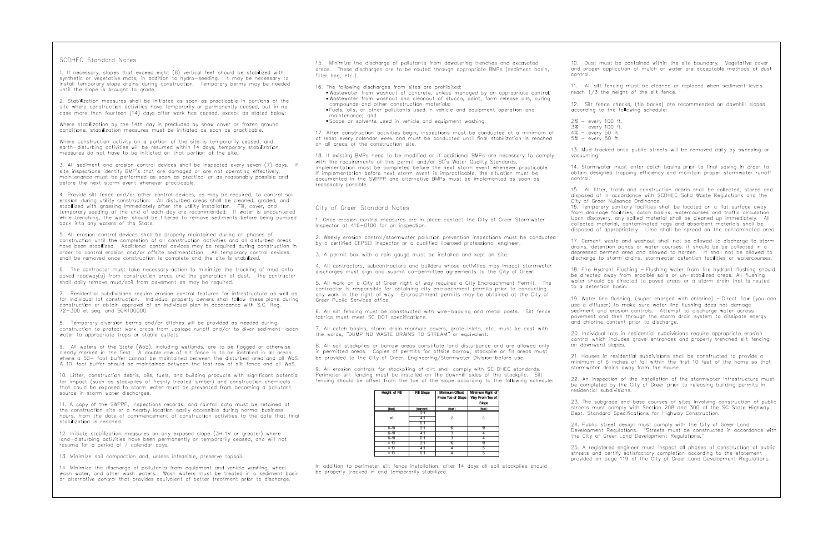## SCDHEC Standard Notes

1. If necessary, slopes that exceed eight (8) vertical feet should be stabilized with synthetic or vegetative mats, in addition to hydro-seeding. It may be necessary to install temporary slope drains during construction. Temporary berms may be needed until the slope is brought to grade.

2. Stabilization measures shall be initiated as soon as practicable in portions of the site where construction activities have temporarily or permanently ceased, but in no case more than fourteen (14) days after work has ceased, except as stated below:

Where stabilization by the 14th day is precluded by snow cover or frozen ground conditions, stabilization measures must be initiated as soon as practicable.

Where construction activity on a portion of the site is temporarily ceased, and earth-disturbing activities will be resumed within 14 days, temporary stabilization measures do not have to be initiated on that portion of the site.

3. All sediment and erosion control devices shall be inspected every seven (7) days. If site inspections identify BMP's that are damaged or are not operating effectively. maintenance must be performed as soon as practical or as reasonably possible and before the next storm event whenever practicable.

4. Provide silt fence and/or other control devices, as may be required, to control soil erosion during utility construction. All disturbed areas shall be cleaned, graded, and stabilized with grassing immediately after the utility installation. Fill, cover, and temporary seeding at the end of each day are recommended. If water is encountered while trenching, the water should be filtered to remove sediments before being pumped back into any waters of the State.

5. All erosion control devices shall be properly maintained during all phases of construction until the completion of all construction activities and all disturbed areas have been stabilized. Additional control devices may be required during construction in order to control erosion and/or offsite sedimentation. All temporary control devices shall be removed once construction is complete and the site is stabilized.

6. The contractor must take necessary action to minimize the tracking of mud onto paved roadway(s) from construction areas and the generation of dust. The contractor shall daily remove mud/soil from pavement as may be required.

Residential subdivisions require erosion control features for infrastructure as well as for individual lot construction. Individual property owners shall follow these plans during construction or obtain approval of an individual plan in accordance with S.C. Reg. 72-300 et seq. and SCR100000.

8. Temporary diversion berms and/or ditches will be provided as needed during construction to protect work areas from upslope runoff and/or to diver sediment-laden water to appropriate traps or stable outlets.

9. All waters of the State (WoS), including wetlands, are to be flagged or otherwise clearly marked in the field. A double row of silt fence is to be installed in all areas where a 50- foot buffer cannot be maintained between the disturbed area and all WoS. A 10-foot buffer should be maintained between the last row of silt fence and all WoS.

10. Litter, construction debris, oils, fuels, and building products with significant potential for impact (such as stockpiles of freshly treated lumber) and construction chemicals that could be exposed to storm water must be prevented from becoming a pollutant source in storm water discharges.

11. A copy of the SWPPP, inspections records, and rainfall data must be retained at the construction site or a nearby location easily accessible during normal business hours, from the date of commencement of construction activities to the date that final stabilization is reached.

12. Initiate stabilization measures on any exposed slope (3H:1V or greater) where land-disturbing activities have been permanently or temporarily ceased, and will not resume for a period of 7 calendar days.

13. Minimize soil compaction and, unless infeasible, preserve topsoil.

14. Minimize the discharge of pollutants from equipment and vehicle washing, wheel wash water, and other wash waters. Wash waters must be treated in a sediment basin or alternative control that provides equivalent of better treatment prior to discharge.

15. Minimize the discharge of pollutants from dewatering trenches and excavated areas. These discharges are to be routed through appropriate BMPs (sediment basin, filter bag, etc.).

16. The following discharges from sites are prohibited:

- . Wastewater from washout of concrete, unless managed by an appropriate control; . Wastewater from washout and cleanout of stucco, paint, form release oils, curing compounds and other construction materials;
- . Fuels, oils, or other pollutants used in vehicle and equipment operation and maintenance; and
- · Soaps or solvents used in vehicle and equipment washing.

17. After construction activities begin, inspections must be conducted at a minimum of at least every calendar week and must be conducted until final stabilization is reached on all areas of the construction site.

18. If existing BMPs need to be modified or if additional BMPs are necessary to comply with the requirements of this permit and/or SC's Water Quality Standards, implementation must be completed before the next storm event whenever practicable. If implementation before next storm event is improcticable, the situation must be documented in the SWPPP and alternative BMPs must be implemented as soon as reasonably possible.

## City of Greer Standard Notes

1. Once erosion control measures are in place contact the City of Greer Stormwater Inspector at 416-0100 for an inspection.

2. Weekly erosion control/stormwater pollution prevention inspections must be conducted by a certified CEPSCI inspector or a qualified licensed professional engineer.

3. A permit box with a rain gauge must be installed and kept on site.

4. All contractors, subcontractors and builders whose activities may impact stormwater discharges must sign and submit co-permittee agreements to the City of Greer.

5. All work on a City of Greer right of way requires a City Encroachment Permit. The contractor is responsible for obtaining city encroachment permits prior to conducting any work in the right of way. Encroachment permits may be obtained at the City of Greer Public Services office.

6. All silt fencing must be constructed with wire-backing and metal posts. Silt fence fabrics must meet SC DOT specifications.

7. All catch basins, storm drain manhole covers, grate inlets, etc. must be cast with<br>the words, "DUMP NO WASTE DRAINS TO STREAM" or equivalent.

8. All soil stockpiles or borrow areas constitute land disturbance and are allowed only in permitted areas. Copies of permits for offsite borrow, stockpile or fill areas must be provided to the City of Greer, Engineering/Stormwater Division before use.

9. All erosion controls for stockpiling of dirt shall comply with SC DHEC standards. Perimeter silt fencing must be installed on the downhill sides of the stockpile. Silt fencing should be offset from the toe of the slope according to the following schedule:

| Height of Fill | <b>Fill Slope</b> | Minimum Offset<br>From Toe of Slope | Minimum Right of<br>Way From Toe of<br>Slope |
|----------------|-------------------|-------------------------------------|----------------------------------------------|
| (feet)         | (hor:vert)        | (feet)                              | (feet)                                       |
|                | 2:1               |                                     |                                              |
| <6             | 4:1               | $\overline{2}$                      | 3                                            |
|                | 6:1               |                                     |                                              |
| $6 - 10$       | 2:1               | 12                                  | 13                                           |
| $6 - 10$       | 4:1               | 3                                   | 4                                            |
| $6 - 10$       | 6:1               | 3                                   |                                              |
| > 10           | 2:1               | D                                   | 13                                           |
| > 10           | 4:1               | 4                                   | 5                                            |
| > 10           | 6:1               | 4                                   | 5                                            |

10. Dust must be contained within the site boundary. Vegetative cover and proper application of mulch or water are acceptable methods of dust control.

11. All silt fencing must be cleaned or replaced when sediment levels reach 1/3 the height of the silt fence.

2% - every 100 ft.

4% - every 50 ft.

vacuumina.

control.

disposed of in accordance with SCDHEC Solid Waste Regulations and the City of Greer Nuisance Ordinance. 16. Temporary sanitary facilities shall be located on a flat surface away from drainage facilities, catch basins, watercourses and traffic circulation. Upon discovery, any spilled material shall be cleaned up immediately. All collected material, contaminated rags and absorbent materials shall be disposed of appropriately. Lime shall be spread on the contaminated area.

17. Cement waste and washout shall not be allowed to discharge to storm drains, detention ponds or water courses, it should be be collected in a depressed bermed area and allowed to harden. It shall not be allowed to discharge to storm drains, stormwater detention facilities or watercourses.

18. Fire Hydrant Flushing - Flushing water from fire hydrant flushing should be directed away from erodible soils or un-stabilized areas. All flushing water should be directed to paved areas or a storm drain that is routed to a detention basin.

19. Water line flushing, (super charged with chlorine) - Direct flow (you can use a diffuser) to make sure water line flushing does not damage sediment and erosion controls. Attempt to discharge water across pavement and then through the storm drain system to dissipate energy and chlorine content prior to discharge.

20. Individual lots in residential subdivisions require appropriate erosion control which includes gravel entrances and properly trenched silt fencing on downward slopes.

21. Houses in residential subdivisions shall be constructed to provide a minimum of 6 inches of fall within the first 10 feet of the home so that stormwater drains away from the house.

22. An inspection of the installation of the stormwater infrastructure must be completed by the City of Greer prior to releasing building permits in residential subdivisions.

23. The subgrade and base courses of sites involving construction of public streets must comply with Section 208 and 300 of the SC State Highway Dept. Standard Specifications for Highway Construction.

25. A registered engineer must inspect all phases of construction of public streets and certify satisfactory completion according to the statement provided on page 119 of the City of Greer Land Development Regulations.

In addition to perimeter silt fence installation, after 14 days all soil stockpiles should be properly tracked in and temporarily stabilized.

12. Silt fence checks, (tie backs) are recommended on downhill slopes according to the following schedule:

 $3\% - every 100$  ft.  $5\%$  - every 50 ft.

13. Mud tracked onto public streets will be removed daily by sweeping or

14. Stormwater must enter catch basins prior to final paving in order to obtain designed trapping efficiency and maintain proper stormwater runoff

15. All litter, trash and construction debris shall be collected, stored and

24. Public street design must comply with the City of Greer Land Development Regulations. "Streets must be constructed in accordance with the City of Greer Land Development Regulations."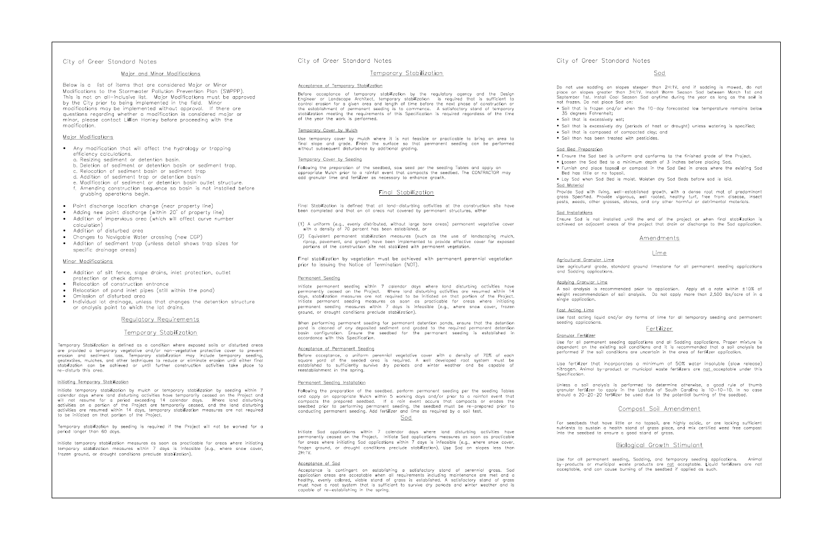### Major and Minor Modifications

Below is a list of items that are considered Major or Minor Modifications to the Stormwater Pollution Prevention Plan (SWPPP). This is not an all-inclusive list. Major Modifications must be approved by the City prior to being implemented in the field. Minor modifications may be implemented without approval. If there are measurement and the magnetic medication is considered major or<br>minor, please contact Lillian Hanley before proceeding with the modification.

### Major Modifications

- Any modification that will affect the hydrology or trapping efficiency calculations.
	- a. Resizing sediment or detention basin.
	- b. Deletion of sediment or detention basin or sediment trap.
	- c. Relocation of sediment basin or sediment trap
	- d. Addition of sediment trap or detention basin
	- e. Modification of sediment or detention basin outlet structure. f. Amending construction sequence so basin is not installed before
- arubbing operations begin.
- Point discharge location change (near property line)
- Adding new point discharge (within 20' of property line)
- Addition of impervious area (which will affect curve number calculation<sup>1</sup>
- Addition of disturbed area
- Changes to Navigable Water crossing (new CGP)
- Addition of sediment trap (unless detail shows trap sizes for specific drainage areas)

#### Minor Modifications

- · Addition of silt fence, slope drains, inlet protection, outlet protection or check dams
- Relocation of construction entrance
- Relocation of pond inlet pipes (still within the pond)
- Omission of disturbed area  $\bullet$
- Individual lot drainage, unless that changes the detention structure  $\bullet$ or analysis point to which the lot drains.

## Regulatory Requirements

## Temporary Stabilization

Temporary Stabilization is defined as a condition where exposed soils or disturbed areas are provided a temporary vegetative and/or non-vegetative protective cover to prevent erosion and sediment loss. Temporary stabilization may include temporary seeding, geotextiles, mulches, and other techniques to reduce or eliminate erosion until either final stabilization can be achieved or until further construction activities take place to re-disturb this area.

### Initiating Temporary Stabilization

Initiate temporary stabilization by mulch or temporary stabilization by seeding within 7 calendar days where land disturbing activities have temporarily ceased on the Project and will not resume for a period exceeding 14 calendar days. Where land disturbing activities on a portion of the Project are temporarily ceased, and the land disturbing activities are resumed within 14 days, temporary stabilization measures are not required to be initiated on that portion of the Project.

Temporary stabilization by seeding is required if the Project will not be worked for a period longer than 60 days

Initiate temporary stabilization measures as soon as practicable for areas where initiating temporary stabilization measures within 7 days is infeasible (e.g., where snow cover, frozen ground, or drought conditions preclude stabilization).

## City of Greer Standard Notes

## Temporary Stabilization

#### Acceptance of Temporary Stabilization

Before acceptance of temporary stabilization by the regulatory agency and the Design<br>Engineer or Landscape Architect, temporary stabilization is required that is sufficient to control erosion for a given area and length of time before the next phase of construction or<br>the establishment of permanent seeding is to commence. A satisfactory stand of temporary<br>stabilization meeting the requirements o

#### Temporary Cover by Mulch

Use temporary cover by mulch where it is not feasible or practicable to bring an area to final slope and grade. Finish the surface so that permanent seeding can be performed without subsequent disturbance by additional aradina.

#### Temporary Cover by Seeding

Following the preparation of the seedbed, sow seed per the seeding Tables and apply an appropriate Mulch prior to a rainfall event that compacts the seedbed. The CONTRACTOR may add granular lime and fertilizer as necessary to enhance growth.

#### Final Stabilization

Final Stabilization is defined that all land-disturbing activities at the construction site have been completed and that on all areas not covered by permanent structures, either

- (1) A uniform (e.g., evenly distributed, without large bare areas) permanent vegetative cover<br>with a density of 70 percent has been established, or
- (2) Equivalent permanent stabilization measures (such as the use of landscaping mulch, riprap, pavement, and gravel) have been implemented to provide effective cover for exposed portions of the construction site not stabilized with permanent vegetation

Final stabilization by vegetation must be achieved with permanent perennial vegetation prior to issuing the Notice of Termination (NOT).

#### Permanent Seeding

Initiate permanent seeding within 7 calendar days where land disturbing activities have<br>permanently ceased on the Project. Where land disturbing activities are resumed within 14<br>days, stabilization measures are not require Initiate permanent seeding measures as soon as practicable for areas where initiating<br>permanent seeding measures within 7 days is infeasible (e.g., where snow cover, frozen ground, or drought conditions preclude stabilization).

When performing permanent seeding for permanent detention ponds, ensure that the detention<br>pond is cleaned of any deposited sediment and graded to the required permanent detention<br>basin configuration. Ensure the seedbe accordance with this Specification.

#### Acceptance of Permanent Seeding

Before acceptance, a uniform perennial vegetative cover with a density of 70% of each square yard of the seeded area is required. A well developed root system must be established to sufficiently survive dry periods and winter weather and be capable of reestablishment in the spring.

#### Permanent Seeding Installation

Following the preparation of the seedbed, perform permanent seeding per the seeding Tables and apply an appropriate Mulch within 5 working days and/or prior to a rainfall event that compacts the prepared seedbed. If a rain event occurs that compacts or erodes the seedbed prior to performing permanent seeding, the seedbed must be re-prepared prior to<br>conducting permanent seeding. Add fertilizer and lime as required by a soil test.

Sod

Initiate Sod applications within 7 calendar days where land disturbing activities have permanently ceased on the Project. Initiate Sod applications measures as soon as practicable for areas where initiating Sod applications within 7 days is infeasible (e.g., where snow cover, frozen ground, or drought conditions preclude stabilization). Use Sod on slopes less than  $2H \cdot 1V$ 

### Acceptance of Sod

Acceptance is contingent on establishing a satisfactory stand of perennial grass. Sod opplication areas are acceptable when all requirements including maintenance are met and a<br>healthy, evenly colored, viable stand of gross is established. A satisfactory stand of gross<br>must have a root system that is suffic capable of re-establishing in the spring.

City of Greer Standard Notes

Do not use sodding on slopes steeper than 2H:1V, and if sodding is mowed, do not place on slopes greater than 3H:1V. Install Warm Season Sod between March 1st and .<br>September 1st. Install Cool Season Sod anytime during the year as long as the soil is not frozen. Do not place Sod on: . Soil that is frozen and/or when the 10-day forecasted low temperature remains below

- 35 degrees Fahrenheit;
- · Soil that is excessively wet;
- - . Soil than has been treated with pesticides.
	-

# Sod Bed Preparation

- 
- 
- Bed has little or no topsoil.

Sod Material

Agricultural Granular Lime and Sodding applications.

Applying Granular Lime single application.

Fast Actina Lime seeding applications.

Granular Fertilizer Use for all permanent seeding applications and all Sodding applications. Proper mixture is dependent on the existing soil conditions and it is recommended that a soil analysis be performed if the soil conditions are uncertain in the area of fertilizer application.

Use fertilizer that incorporates a minimum of 50% water insoluble (slow release) nitrogen. Animal by-product or municipal waste fertilizers are not acceptable under this Snecification

Unless a soil analysis is performed to determine otherwise, a good rule of thumb granular fertilizer to apply in the Upstate of South Carolina is  $10-10-10$ . In no case should a  $20-20-20$  fertilizer be used due to the potential burning of the seedbed.

Use for all permanent seeding, Sodding, and temporary seeding applications. Animal<br>by—products or municipal waste products are <u>not</u> acceptable. Liquid fertilizers are not acceptable, and can cause burning of the seedbed if applied as such.

## Sod

· Soil that is excessively dry (periods of heat or drought) unless watering is specified; · Soil that is composed of compacted clay; and

. Ensure the Sod bed is uniform and conforms to the finished arade of the Project. . Loosen the Sod Bed to a minimum depth of 3 inches before placing Sod. • Furnish and place topsoil or compost in the Sod Bed in areas where the existing Sod

. Lay Sod when Sod Bed is moist. Moisten dry Sod Beds before sod is laid.

Provide Sod with living, well-established growth, with a dense root mat of predominant<br>grass Specified. Provide vigorous, well rooted, healthy turf, free from disease, insect pests, weeds, other grasses, stones, and any other harmful or detrimental materials.

Ensure Sod is not installed until the end of the project or when final stabilization is achieved on adjacent areas of the project that drain or discharge to the Sod application.

## Amendments

### Lime

Use agricultural grade, standard ground limestone for all permanent seeding applications

A soil analysis is recommended prior to application. Apply at a rate within ±10% of weight recommendation of soil analysis. Do not apply more than 2,500 lbs/acre of in a

Use fast acting liquid and/or dry forms of lime for all temporary seeding and permanent

#### Fertilizer

## Compost Soil Amendment

For seedbeds that have little or no topsoil, are highly acidic, or are lacking sufficient<br>nutrients to sustain a health stand of grass place, and mix certified weed free compost into the seedbed to ensure a good stand of grass.

## Biological Growth Stimulant